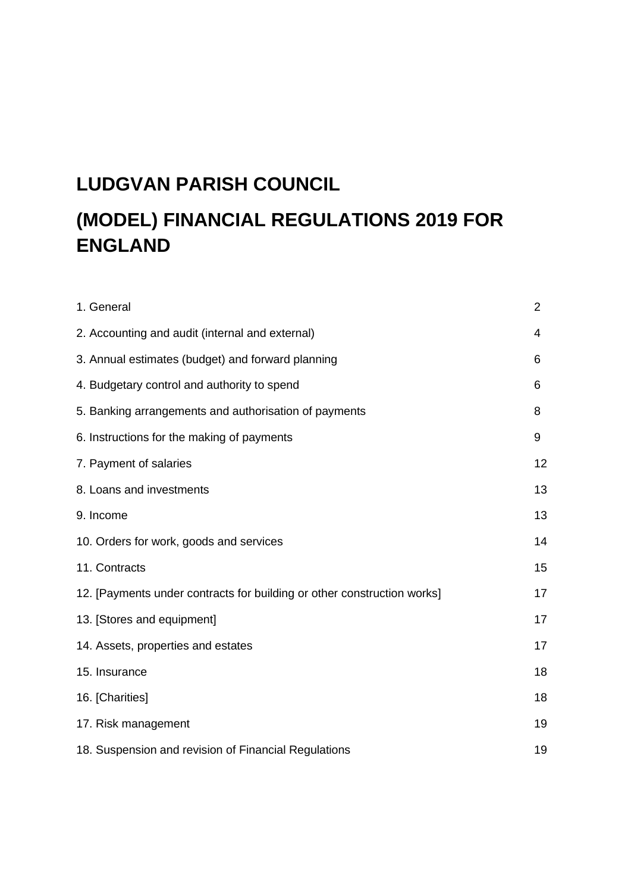# **LUDGVAN PARISH COUNCIL**

# **(MODEL) FINANCIAL REGULATIONS 2019 FOR ENGLAND**

| 1. General                                                              | $\overline{2}$ |
|-------------------------------------------------------------------------|----------------|
| 2. Accounting and audit (internal and external)                         | 4              |
| 3. Annual estimates (budget) and forward planning                       | 6              |
| 4. Budgetary control and authority to spend                             | 6              |
| 5. Banking arrangements and authorisation of payments                   | 8              |
| 6. Instructions for the making of payments                              | 9              |
| 7. Payment of salaries                                                  | 12             |
| 8. Loans and investments                                                | 13             |
| 9. Income                                                               | 13             |
| 10. Orders for work, goods and services                                 | 14             |
| 11. Contracts                                                           | 15             |
| 12. [Payments under contracts for building or other construction works] | 17             |
| 13. [Stores and equipment]                                              | 17             |
| 14. Assets, properties and estates                                      | 17             |
| 15. Insurance                                                           | 18             |
| 16. [Charities]                                                         | 18             |
| 17. Risk management                                                     | 19             |
| 18. Suspension and revision of Financial Regulations                    | 19             |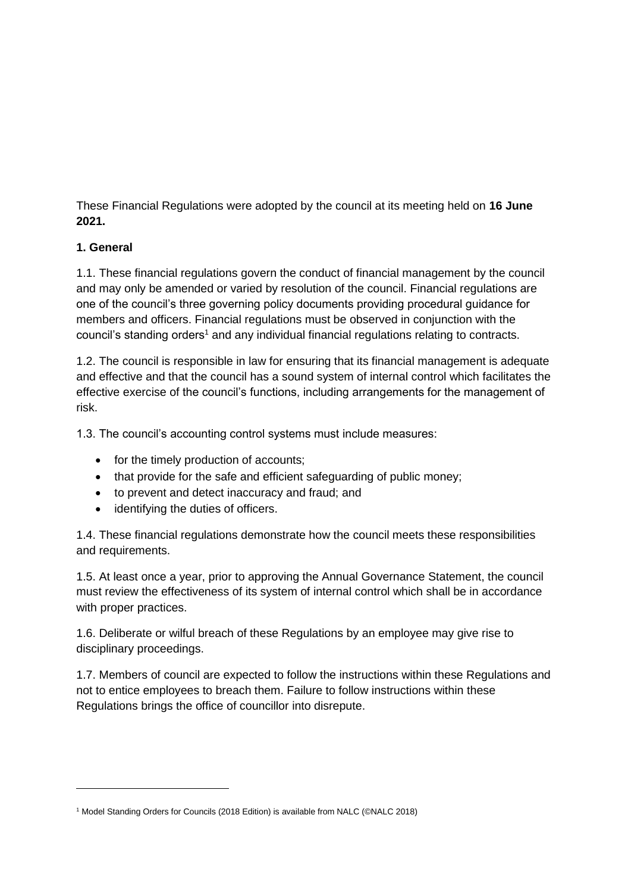These Financial Regulations were adopted by the council at its meeting held on **16 June 2021.**

# **1. General**

1.1. These financial regulations govern the conduct of financial management by the council and may only be amended or varied by resolution of the council. Financial regulations are one of the council's three governing policy documents providing procedural guidance for members and officers. Financial regulations must be observed in conjunction with the council's standing orders<sup>1</sup> and any individual financial regulations relating to contracts.

1.2. The council is responsible in law for ensuring that its financial management is adequate and effective and that the council has a sound system of internal control which facilitates the effective exercise of the council's functions, including arrangements for the management of risk.

1.3. The council's accounting control systems must include measures:

- for the timely production of accounts;
- that provide for the safe and efficient safeguarding of public money;
- to prevent and detect inaccuracy and fraud; and
- identifying the duties of officers.

1.4. These financial regulations demonstrate how the council meets these responsibilities and requirements.

1.5. At least once a year, prior to approving the Annual Governance Statement, the council must review the effectiveness of its system of internal control which shall be in accordance with proper practices.

1.6. Deliberate or wilful breach of these Regulations by an employee may give rise to disciplinary proceedings.

1.7. Members of council are expected to follow the instructions within these Regulations and not to entice employees to breach them. Failure to follow instructions within these Regulations brings the office of councillor into disrepute.

<sup>1</sup> Model Standing Orders for Councils (2018 Edition) is available from NALC (©NALC 2018)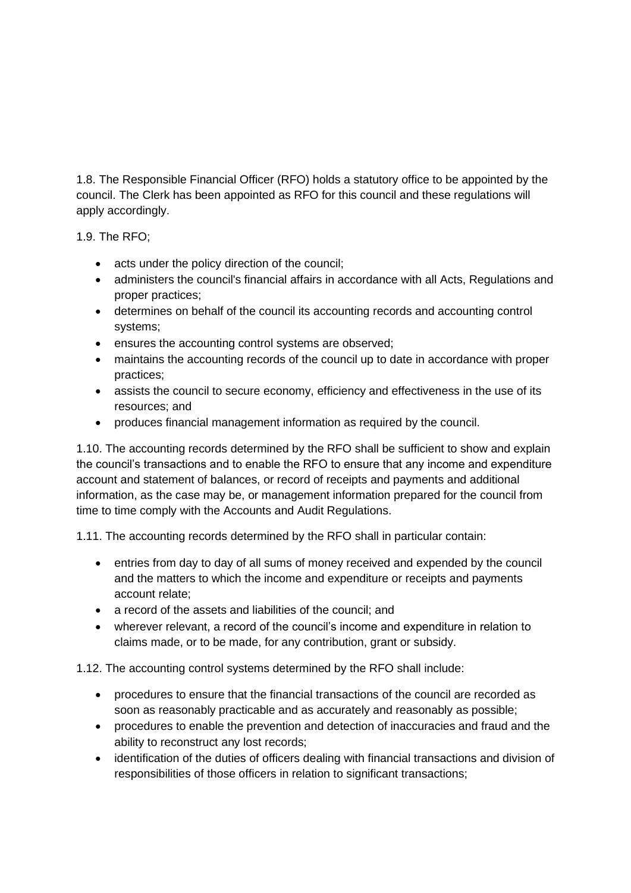1.8. The Responsible Financial Officer (RFO) holds a statutory office to be appointed by the council. The Clerk has been appointed as RFO for this council and these regulations will apply accordingly.

1.9. The RFO;

- acts under the policy direction of the council;
- administers the council's financial affairs in accordance with all Acts, Regulations and proper practices;
- determines on behalf of the council its accounting records and accounting control systems;
- ensures the accounting control systems are observed;
- maintains the accounting records of the council up to date in accordance with proper practices;
- assists the council to secure economy, efficiency and effectiveness in the use of its resources; and
- produces financial management information as required by the council.

1.10. The accounting records determined by the RFO shall be sufficient to show and explain the council's transactions and to enable the RFO to ensure that any income and expenditure account and statement of balances, or record of receipts and payments and additional information, as the case may be, or management information prepared for the council from time to time comply with the Accounts and Audit Regulations.

1.11. The accounting records determined by the RFO shall in particular contain:

- entries from day to day of all sums of money received and expended by the council and the matters to which the income and expenditure or receipts and payments account relate;
- a record of the assets and liabilities of the council; and
- wherever relevant, a record of the council's income and expenditure in relation to claims made, or to be made, for any contribution, grant or subsidy.

1.12. The accounting control systems determined by the RFO shall include:

- procedures to ensure that the financial transactions of the council are recorded as soon as reasonably practicable and as accurately and reasonably as possible;
- procedures to enable the prevention and detection of inaccuracies and fraud and the ability to reconstruct any lost records;
- identification of the duties of officers dealing with financial transactions and division of responsibilities of those officers in relation to significant transactions;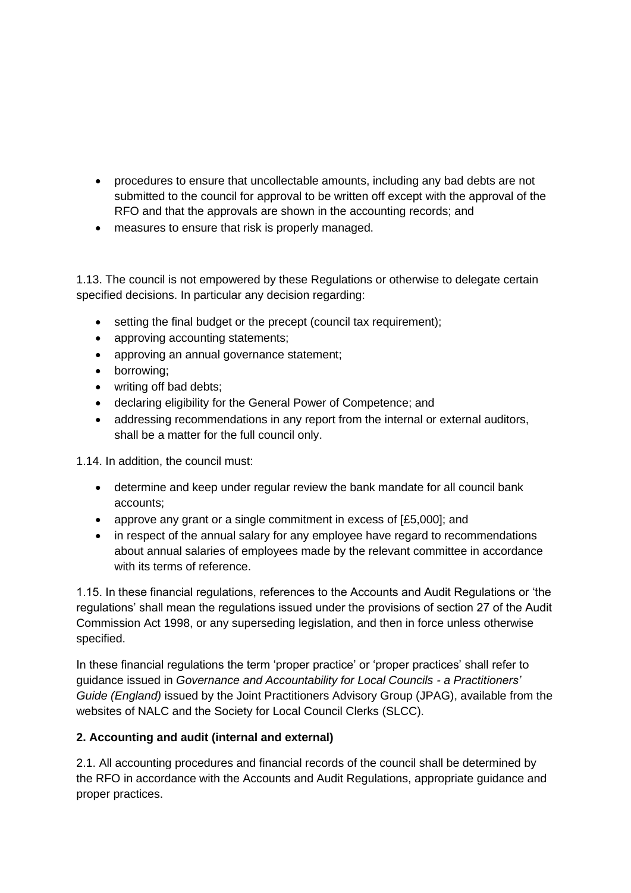- procedures to ensure that uncollectable amounts, including any bad debts are not submitted to the council for approval to be written off except with the approval of the RFO and that the approvals are shown in the accounting records; and
- measures to ensure that risk is properly managed.

1.13. The council is not empowered by these Regulations or otherwise to delegate certain specified decisions. In particular any decision regarding:

- setting the final budget or the precept (council tax requirement);
- approving accounting statements;
- approving an annual governance statement;
- borrowing;
- writing off bad debts;
- declaring eligibility for the General Power of Competence; and
- addressing recommendations in any report from the internal or external auditors, shall be a matter for the full council only.

1.14. In addition, the council must:

- determine and keep under regular review the bank mandate for all council bank accounts;
- approve any grant or a single commitment in excess of [£5,000]; and
- in respect of the annual salary for any employee have regard to recommendations about annual salaries of employees made by the relevant committee in accordance with its terms of reference.

1.15. In these financial regulations, references to the Accounts and Audit Regulations or 'the regulations' shall mean the regulations issued under the provisions of section 27 of the Audit Commission Act 1998, or any superseding legislation, and then in force unless otherwise specified.

In these financial regulations the term 'proper practice' or 'proper practices' shall refer to guidance issued in *Governance and Accountability for Local Councils - a Practitioners' Guide (England)* issued by the Joint Practitioners Advisory Group (JPAG), available from the websites of NALC and the Society for Local Council Clerks (SLCC).

#### **2. Accounting and audit (internal and external)**

2.1. All accounting procedures and financial records of the council shall be determined by the RFO in accordance with the Accounts and Audit Regulations, appropriate guidance and proper practices.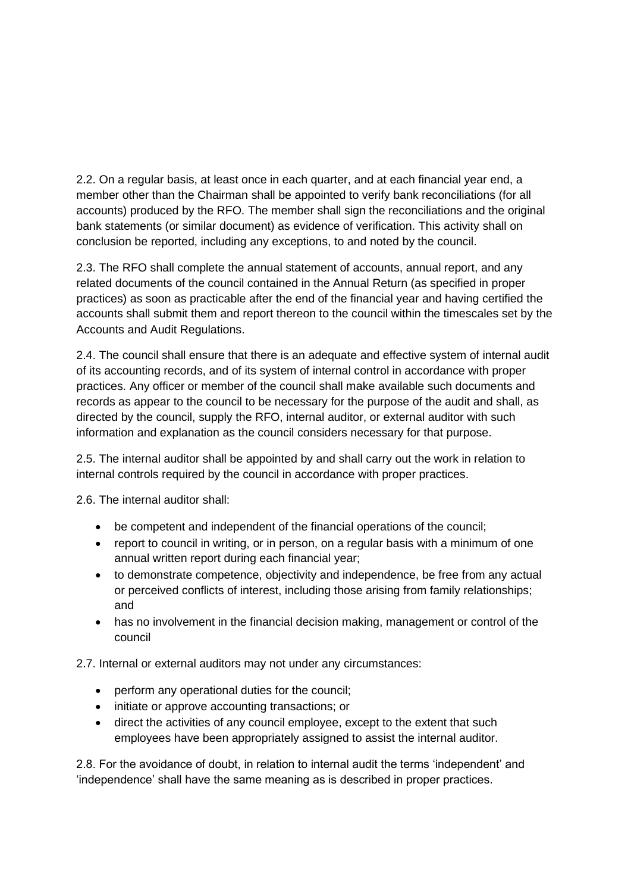2.2. On a regular basis, at least once in each quarter, and at each financial year end, a member other than the Chairman shall be appointed to verify bank reconciliations (for all accounts) produced by the RFO. The member shall sign the reconciliations and the original bank statements (or similar document) as evidence of verification. This activity shall on conclusion be reported, including any exceptions, to and noted by the council.

2.3. The RFO shall complete the annual statement of accounts, annual report, and any related documents of the council contained in the Annual Return (as specified in proper practices) as soon as practicable after the end of the financial year and having certified the accounts shall submit them and report thereon to the council within the timescales set by the Accounts and Audit Regulations.

2.4. The council shall ensure that there is an adequate and effective system of internal audit of its accounting records, and of its system of internal control in accordance with proper practices. Any officer or member of the council shall make available such documents and records as appear to the council to be necessary for the purpose of the audit and shall, as directed by the council, supply the RFO, internal auditor, or external auditor with such information and explanation as the council considers necessary for that purpose.

2.5. The internal auditor shall be appointed by and shall carry out the work in relation to internal controls required by the council in accordance with proper practices.

2.6. The internal auditor shall:

- be competent and independent of the financial operations of the council;
- report to council in writing, or in person, on a regular basis with a minimum of one annual written report during each financial year;
- to demonstrate competence, objectivity and independence, be free from any actual or perceived conflicts of interest, including those arising from family relationships; and
- has no involvement in the financial decision making, management or control of the council

2.7. Internal or external auditors may not under any circumstances:

- perform any operational duties for the council;
- initiate or approve accounting transactions; or
- direct the activities of any council employee, except to the extent that such employees have been appropriately assigned to assist the internal auditor.

2.8. For the avoidance of doubt, in relation to internal audit the terms 'independent' and 'independence' shall have the same meaning as is described in proper practices.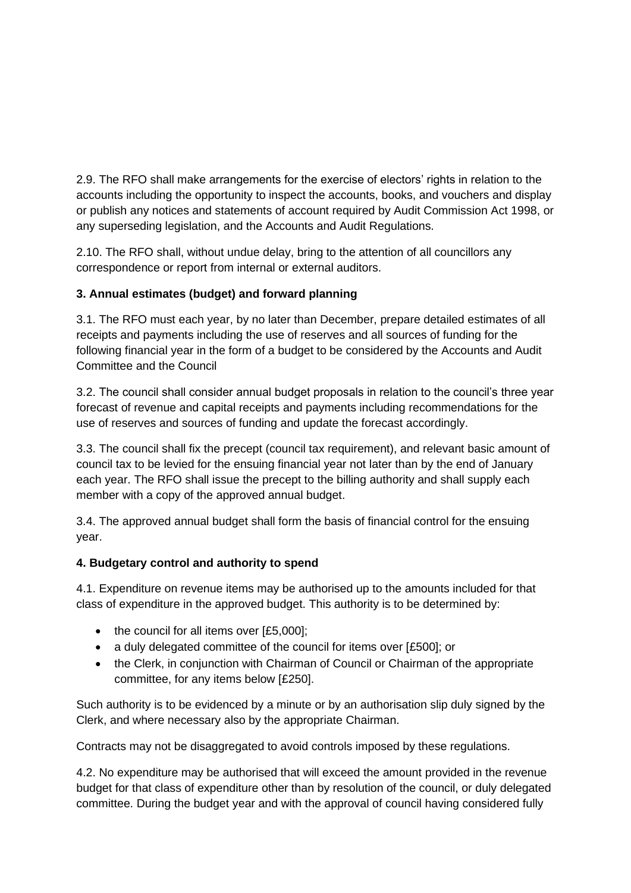2.9. The RFO shall make arrangements for the exercise of electors' rights in relation to the accounts including the opportunity to inspect the accounts, books, and vouchers and display or publish any notices and statements of account required by Audit Commission Act 1998, or any superseding legislation, and the Accounts and Audit Regulations.

2.10. The RFO shall, without undue delay, bring to the attention of all councillors any correspondence or report from internal or external auditors.

# **3. Annual estimates (budget) and forward planning**

3.1. The RFO must each year, by no later than December, prepare detailed estimates of all receipts and payments including the use of reserves and all sources of funding for the following financial year in the form of a budget to be considered by the Accounts and Audit Committee and the Council

3.2. The council shall consider annual budget proposals in relation to the council's three year forecast of revenue and capital receipts and payments including recommendations for the use of reserves and sources of funding and update the forecast accordingly.

3.3. The council shall fix the precept (council tax requirement), and relevant basic amount of council tax to be levied for the ensuing financial year not later than by the end of January each year. The RFO shall issue the precept to the billing authority and shall supply each member with a copy of the approved annual budget.

3.4. The approved annual budget shall form the basis of financial control for the ensuing year.

# **4. Budgetary control and authority to spend**

4.1. Expenditure on revenue items may be authorised up to the amounts included for that class of expenditure in the approved budget. This authority is to be determined by:

- the council for all items over [£5,000];
- a duly delegated committee of the council for items over [£500]; or
- the Clerk, in conjunction with Chairman of Council or Chairman of the appropriate committee, for any items below [£250].

Such authority is to be evidenced by a minute or by an authorisation slip duly signed by the Clerk, and where necessary also by the appropriate Chairman.

Contracts may not be disaggregated to avoid controls imposed by these regulations.

4.2. No expenditure may be authorised that will exceed the amount provided in the revenue budget for that class of expenditure other than by resolution of the council, or duly delegated committee. During the budget year and with the approval of council having considered fully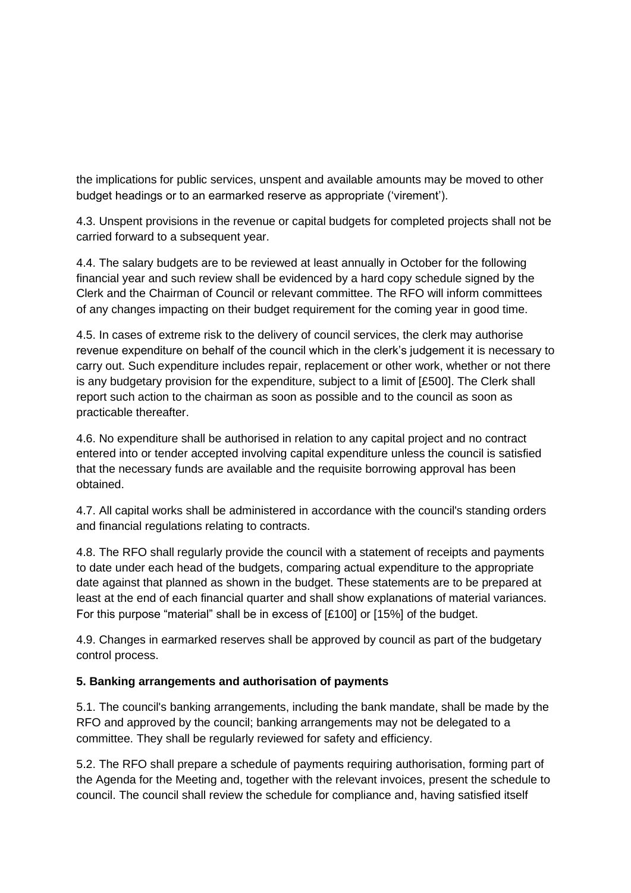the implications for public services, unspent and available amounts may be moved to other budget headings or to an earmarked reserve as appropriate ('virement').

4.3. Unspent provisions in the revenue or capital budgets for completed projects shall not be carried forward to a subsequent year.

4.4. The salary budgets are to be reviewed at least annually in October for the following financial year and such review shall be evidenced by a hard copy schedule signed by the Clerk and the Chairman of Council or relevant committee. The RFO will inform committees of any changes impacting on their budget requirement for the coming year in good time.

4.5. In cases of extreme risk to the delivery of council services, the clerk may authorise revenue expenditure on behalf of the council which in the clerk's judgement it is necessary to carry out. Such expenditure includes repair, replacement or other work, whether or not there is any budgetary provision for the expenditure, subject to a limit of [£500]. The Clerk shall report such action to the chairman as soon as possible and to the council as soon as practicable thereafter.

4.6. No expenditure shall be authorised in relation to any capital project and no contract entered into or tender accepted involving capital expenditure unless the council is satisfied that the necessary funds are available and the requisite borrowing approval has been obtained.

4.7. All capital works shall be administered in accordance with the council's standing orders and financial regulations relating to contracts.

4.8. The RFO shall regularly provide the council with a statement of receipts and payments to date under each head of the budgets, comparing actual expenditure to the appropriate date against that planned as shown in the budget. These statements are to be prepared at least at the end of each financial quarter and shall show explanations of material variances. For this purpose "material" shall be in excess of [£100] or [15%] of the budget.

4.9. Changes in earmarked reserves shall be approved by council as part of the budgetary control process.

#### **5. Banking arrangements and authorisation of payments**

5.1. The council's banking arrangements, including the bank mandate, shall be made by the RFO and approved by the council; banking arrangements may not be delegated to a committee. They shall be regularly reviewed for safety and efficiency.

5.2. The RFO shall prepare a schedule of payments requiring authorisation, forming part of the Agenda for the Meeting and, together with the relevant invoices, present the schedule to council. The council shall review the schedule for compliance and, having satisfied itself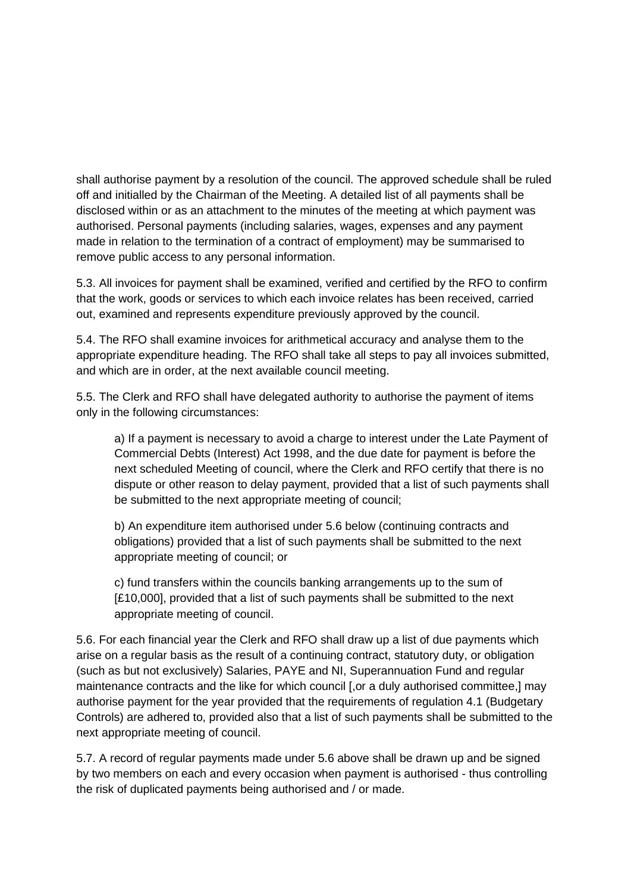shall authorise payment by a resolution of the council. The approved schedule shall be ruled off and initialled by the Chairman of the Meeting. A detailed list of all payments shall be disclosed within or as an attachment to the minutes of the meeting at which payment was authorised. Personal payments (including salaries, wages, expenses and any payment made in relation to the termination of a contract of employment) may be summarised to remove public access to any personal information.

5.3. All invoices for payment shall be examined, verified and certified by the RFO to confirm that the work, goods or services to which each invoice relates has been received, carried out, examined and represents expenditure previously approved by the council.

5.4. The RFO shall examine invoices for arithmetical accuracy and analyse them to the appropriate expenditure heading. The RFO shall take all steps to pay all invoices submitted, and which are in order, at the next available council meeting.

5.5. The Clerk and RFO shall have delegated authority to authorise the payment of items only in the following circumstances:

a) If a payment is necessary to avoid a charge to interest under the Late Payment of Commercial Debts (Interest) Act 1998, and the due date for payment is before the next scheduled Meeting of council, where the Clerk and RFO certify that there is no dispute or other reason to delay payment, provided that a list of such payments shall be submitted to the next appropriate meeting of council;

b) An expenditure item authorised under 5.6 below (continuing contracts and obligations) provided that a list of such payments shall be submitted to the next appropriate meeting of council; or

c) fund transfers within the councils banking arrangements up to the sum of [£10,000], provided that a list of such payments shall be submitted to the next appropriate meeting of council.

5.6. For each financial year the Clerk and RFO shall draw up a list of due payments which arise on a regular basis as the result of a continuing contract, statutory duty, or obligation (such as but not exclusively) Salaries, PAYE and NI, Superannuation Fund and regular maintenance contracts and the like for which council [, or a duly authorised committee,] may authorise payment for the year provided that the requirements of regulation 4.1 (Budgetary Controls) are adhered to, provided also that a list of such payments shall be submitted to the next appropriate meeting of council.

5.7. A record of regular payments made under 5.6 above shall be drawn up and be signed by two members on each and every occasion when payment is authorised - thus controlling the risk of duplicated payments being authorised and / or made.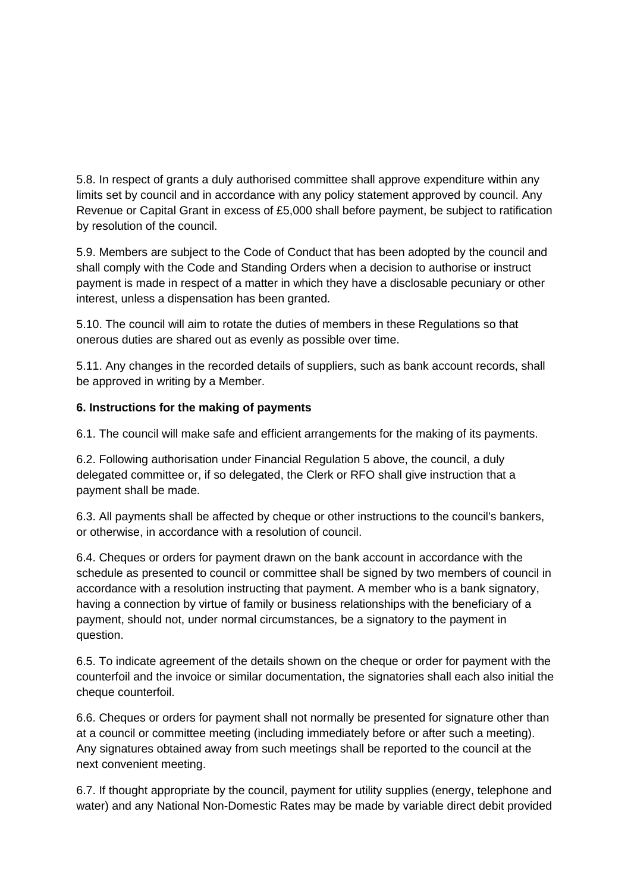5.8. In respect of grants a duly authorised committee shall approve expenditure within any limits set by council and in accordance with any policy statement approved by council. Any Revenue or Capital Grant in excess of £5,000 shall before payment, be subject to ratification by resolution of the council.

5.9. Members are subject to the Code of Conduct that has been adopted by the council and shall comply with the Code and Standing Orders when a decision to authorise or instruct payment is made in respect of a matter in which they have a disclosable pecuniary or other interest, unless a dispensation has been granted.

5.10. The council will aim to rotate the duties of members in these Regulations so that onerous duties are shared out as evenly as possible over time.

5.11. Any changes in the recorded details of suppliers, such as bank account records, shall be approved in writing by a Member.

#### **6. Instructions for the making of payments**

6.1. The council will make safe and efficient arrangements for the making of its payments.

6.2. Following authorisation under Financial Regulation 5 above, the council, a duly delegated committee or, if so delegated, the Clerk or RFO shall give instruction that a payment shall be made.

6.3. All payments shall be affected by cheque or other instructions to the council's bankers, or otherwise, in accordance with a resolution of council.

6.4. Cheques or orders for payment drawn on the bank account in accordance with the schedule as presented to council or committee shall be signed by two members of council in accordance with a resolution instructing that payment. A member who is a bank signatory, having a connection by virtue of family or business relationships with the beneficiary of a payment, should not, under normal circumstances, be a signatory to the payment in question.

6.5. To indicate agreement of the details shown on the cheque or order for payment with the counterfoil and the invoice or similar documentation, the signatories shall each also initial the cheque counterfoil.

6.6. Cheques or orders for payment shall not normally be presented for signature other than at a council or committee meeting (including immediately before or after such a meeting). Any signatures obtained away from such meetings shall be reported to the council at the next convenient meeting.

6.7. If thought appropriate by the council, payment for utility supplies (energy, telephone and water) and any National Non-Domestic Rates may be made by variable direct debit provided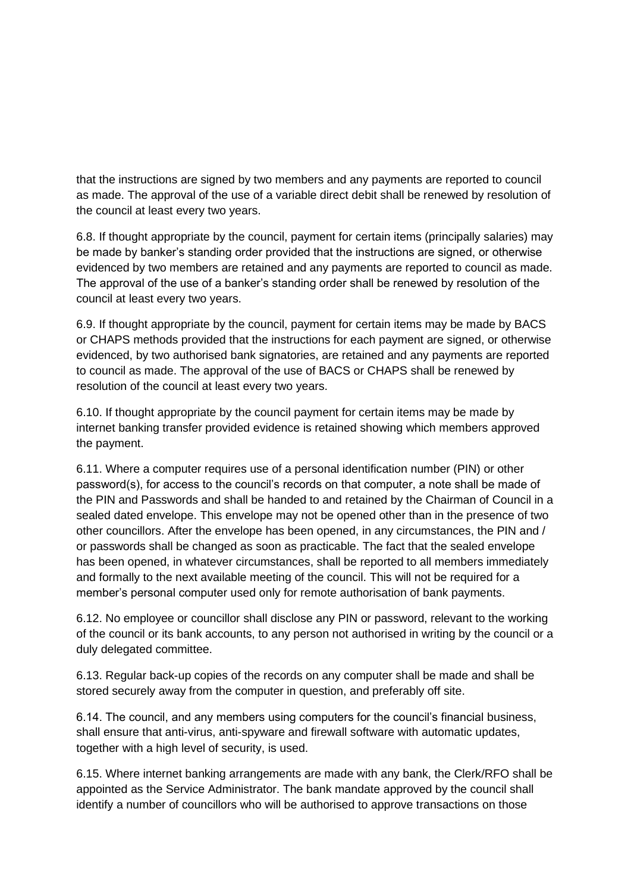that the instructions are signed by two members and any payments are reported to council as made. The approval of the use of a variable direct debit shall be renewed by resolution of the council at least every two years.

6.8. If thought appropriate by the council, payment for certain items (principally salaries) may be made by banker's standing order provided that the instructions are signed, or otherwise evidenced by two members are retained and any payments are reported to council as made. The approval of the use of a banker's standing order shall be renewed by resolution of the council at least every two years.

6.9. If thought appropriate by the council, payment for certain items may be made by BACS or CHAPS methods provided that the instructions for each payment are signed, or otherwise evidenced, by two authorised bank signatories, are retained and any payments are reported to council as made. The approval of the use of BACS or CHAPS shall be renewed by resolution of the council at least every two years.

6.10. If thought appropriate by the council payment for certain items may be made by internet banking transfer provided evidence is retained showing which members approved the payment.

6.11. Where a computer requires use of a personal identification number (PIN) or other password(s), for access to the council's records on that computer, a note shall be made of the PIN and Passwords and shall be handed to and retained by the Chairman of Council in a sealed dated envelope. This envelope may not be opened other than in the presence of two other councillors. After the envelope has been opened, in any circumstances, the PIN and / or passwords shall be changed as soon as practicable. The fact that the sealed envelope has been opened, in whatever circumstances, shall be reported to all members immediately and formally to the next available meeting of the council. This will not be required for a member's personal computer used only for remote authorisation of bank payments.

6.12. No employee or councillor shall disclose any PIN or password, relevant to the working of the council or its bank accounts, to any person not authorised in writing by the council or a duly delegated committee.

6.13. Regular back-up copies of the records on any computer shall be made and shall be stored securely away from the computer in question, and preferably off site.

6.14. The council, and any members using computers for the council's financial business, shall ensure that anti-virus, anti-spyware and firewall software with automatic updates, together with a high level of security, is used.

6.15. Where internet banking arrangements are made with any bank, the Clerk/RFO shall be appointed as the Service Administrator. The bank mandate approved by the council shall identify a number of councillors who will be authorised to approve transactions on those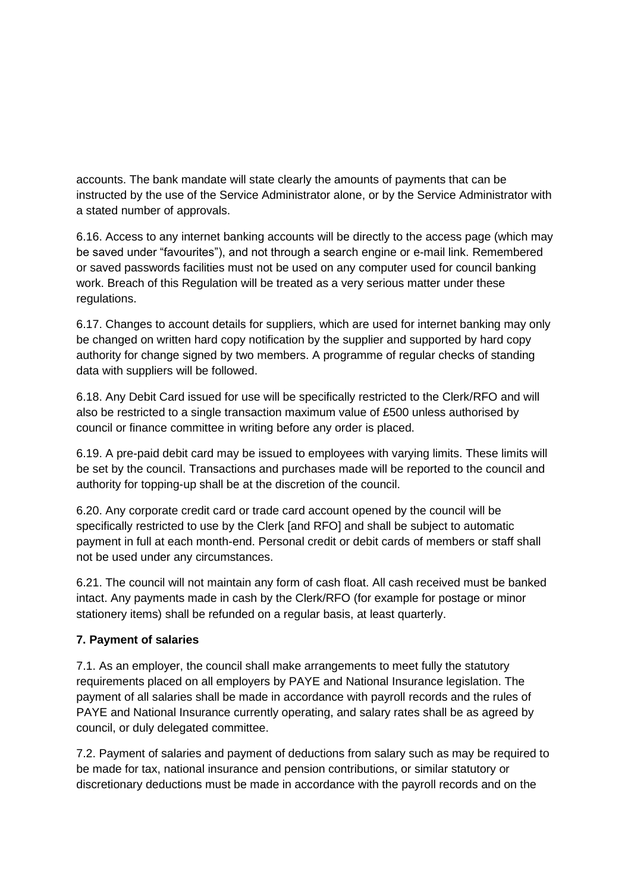accounts. The bank mandate will state clearly the amounts of payments that can be instructed by the use of the Service Administrator alone, or by the Service Administrator with a stated number of approvals.

6.16. Access to any internet banking accounts will be directly to the access page (which may be saved under "favourites"), and not through a search engine or e-mail link. Remembered or saved passwords facilities must not be used on any computer used for council banking work. Breach of this Regulation will be treated as a very serious matter under these regulations.

6.17. Changes to account details for suppliers, which are used for internet banking may only be changed on written hard copy notification by the supplier and supported by hard copy authority for change signed by two members. A programme of regular checks of standing data with suppliers will be followed.

6.18. Any Debit Card issued for use will be specifically restricted to the Clerk/RFO and will also be restricted to a single transaction maximum value of £500 unless authorised by council or finance committee in writing before any order is placed.

6.19. A pre-paid debit card may be issued to employees with varying limits. These limits will be set by the council. Transactions and purchases made will be reported to the council and authority for topping-up shall be at the discretion of the council.

6.20. Any corporate credit card or trade card account opened by the council will be specifically restricted to use by the Clerk [and RFO] and shall be subject to automatic payment in full at each month-end. Personal credit or debit cards of members or staff shall not be used under any circumstances.

6.21. The council will not maintain any form of cash float. All cash received must be banked intact. Any payments made in cash by the Clerk/RFO (for example for postage or minor stationery items) shall be refunded on a regular basis, at least quarterly.

#### **7. Payment of salaries**

7.1. As an employer, the council shall make arrangements to meet fully the statutory requirements placed on all employers by PAYE and National Insurance legislation. The payment of all salaries shall be made in accordance with payroll records and the rules of PAYE and National Insurance currently operating, and salary rates shall be as agreed by council, or duly delegated committee.

7.2. Payment of salaries and payment of deductions from salary such as may be required to be made for tax, national insurance and pension contributions, or similar statutory or discretionary deductions must be made in accordance with the payroll records and on the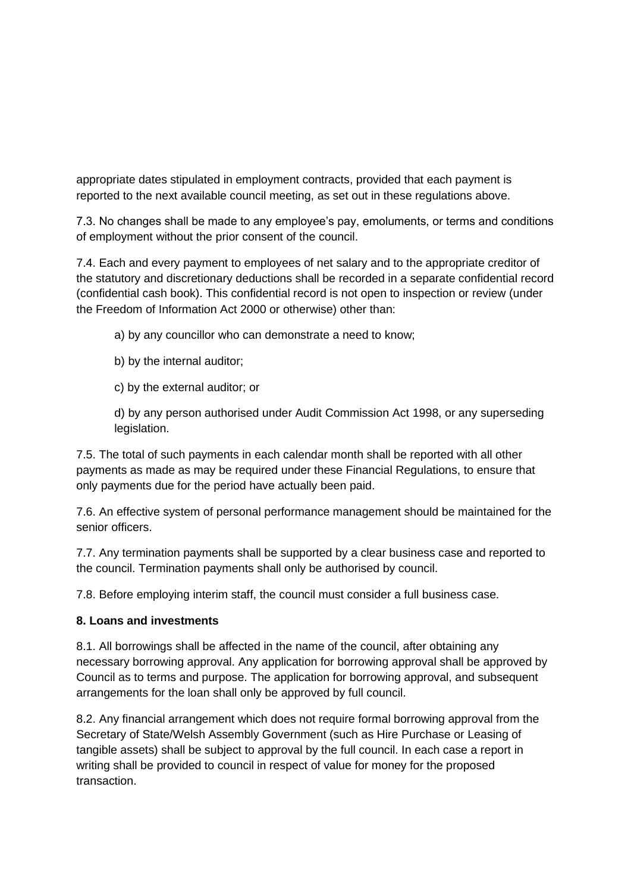appropriate dates stipulated in employment contracts, provided that each payment is reported to the next available council meeting, as set out in these regulations above.

7.3. No changes shall be made to any employee's pay, emoluments, or terms and conditions of employment without the prior consent of the council.

7.4. Each and every payment to employees of net salary and to the appropriate creditor of the statutory and discretionary deductions shall be recorded in a separate confidential record (confidential cash book). This confidential record is not open to inspection or review (under the Freedom of Information Act 2000 or otherwise) other than:

a) by any councillor who can demonstrate a need to know;

- b) by the internal auditor;
- c) by the external auditor; or

d) by any person authorised under Audit Commission Act 1998, or any superseding legislation.

7.5. The total of such payments in each calendar month shall be reported with all other payments as made as may be required under these Financial Regulations, to ensure that only payments due for the period have actually been paid.

7.6. An effective system of personal performance management should be maintained for the senior officers.

7.7. Any termination payments shall be supported by a clear business case and reported to the council. Termination payments shall only be authorised by council.

7.8. Before employing interim staff, the council must consider a full business case.

#### **8. Loans and investments**

8.1. All borrowings shall be affected in the name of the council, after obtaining any necessary borrowing approval. Any application for borrowing approval shall be approved by Council as to terms and purpose. The application for borrowing approval, and subsequent arrangements for the loan shall only be approved by full council.

8.2. Any financial arrangement which does not require formal borrowing approval from the Secretary of State/Welsh Assembly Government (such as Hire Purchase or Leasing of tangible assets) shall be subject to approval by the full council. In each case a report in writing shall be provided to council in respect of value for money for the proposed transaction.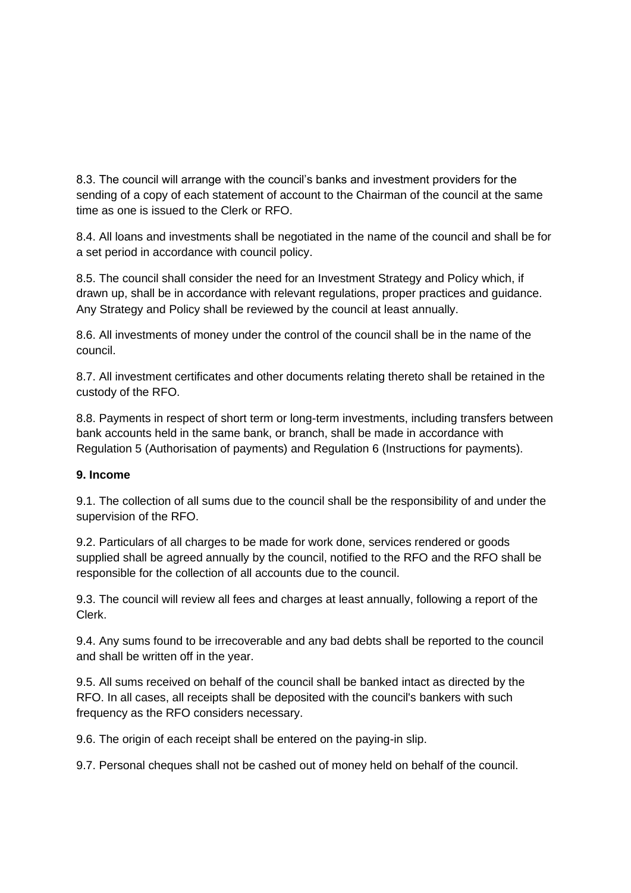8.3. The council will arrange with the council's banks and investment providers for the sending of a copy of each statement of account to the Chairman of the council at the same time as one is issued to the Clerk or RFO.

8.4. All loans and investments shall be negotiated in the name of the council and shall be for a set period in accordance with council policy.

8.5. The council shall consider the need for an Investment Strategy and Policy which, if drawn up, shall be in accordance with relevant regulations, proper practices and guidance. Any Strategy and Policy shall be reviewed by the council at least annually.

8.6. All investments of money under the control of the council shall be in the name of the council.

8.7. All investment certificates and other documents relating thereto shall be retained in the custody of the RFO.

8.8. Payments in respect of short term or long-term investments, including transfers between bank accounts held in the same bank, or branch, shall be made in accordance with Regulation 5 (Authorisation of payments) and Regulation 6 (Instructions for payments).

#### **9. Income**

9.1. The collection of all sums due to the council shall be the responsibility of and under the supervision of the RFO.

9.2. Particulars of all charges to be made for work done, services rendered or goods supplied shall be agreed annually by the council, notified to the RFO and the RFO shall be responsible for the collection of all accounts due to the council.

9.3. The council will review all fees and charges at least annually, following a report of the Clerk.

9.4. Any sums found to be irrecoverable and any bad debts shall be reported to the council and shall be written off in the year.

9.5. All sums received on behalf of the council shall be banked intact as directed by the RFO. In all cases, all receipts shall be deposited with the council's bankers with such frequency as the RFO considers necessary.

9.6. The origin of each receipt shall be entered on the paying-in slip.

9.7. Personal cheques shall not be cashed out of money held on behalf of the council.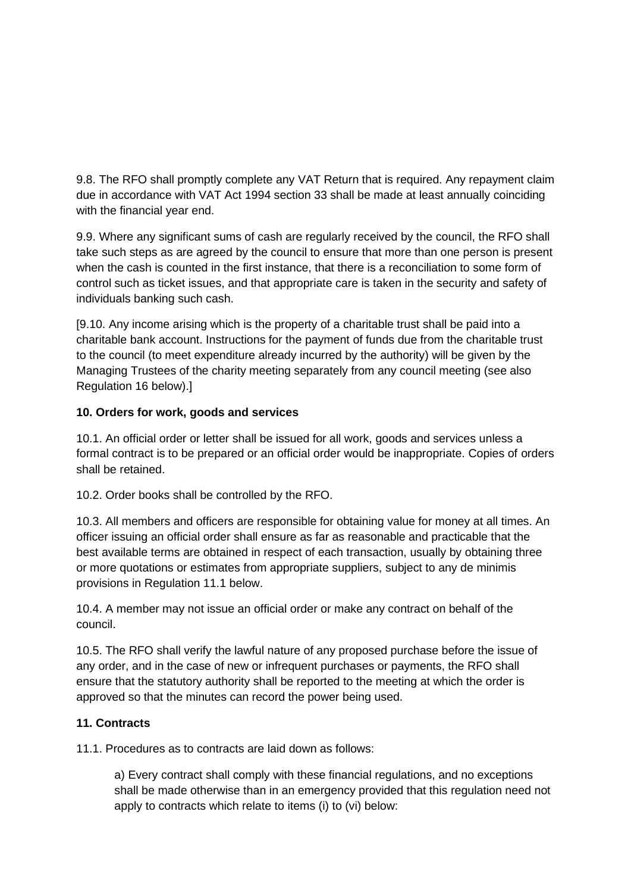9.8. The RFO shall promptly complete any VAT Return that is required. Any repayment claim due in accordance with VAT Act 1994 section 33 shall be made at least annually coinciding with the financial year end.

9.9. Where any significant sums of cash are regularly received by the council, the RFO shall take such steps as are agreed by the council to ensure that more than one person is present when the cash is counted in the first instance, that there is a reconciliation to some form of control such as ticket issues, and that appropriate care is taken in the security and safety of individuals banking such cash.

[9.10. Any income arising which is the property of a charitable trust shall be paid into a charitable bank account. Instructions for the payment of funds due from the charitable trust to the council (to meet expenditure already incurred by the authority) will be given by the Managing Trustees of the charity meeting separately from any council meeting (see also Regulation 16 below).]

## **10. Orders for work, goods and services**

10.1. An official order or letter shall be issued for all work, goods and services unless a formal contract is to be prepared or an official order would be inappropriate. Copies of orders shall be retained.

10.2. Order books shall be controlled by the RFO.

10.3. All members and officers are responsible for obtaining value for money at all times. An officer issuing an official order shall ensure as far as reasonable and practicable that the best available terms are obtained in respect of each transaction, usually by obtaining three or more quotations or estimates from appropriate suppliers, subject to any de minimis provisions in Regulation 11.1 below.

10.4. A member may not issue an official order or make any contract on behalf of the council.

10.5. The RFO shall verify the lawful nature of any proposed purchase before the issue of any order, and in the case of new or infrequent purchases or payments, the RFO shall ensure that the statutory authority shall be reported to the meeting at which the order is approved so that the minutes can record the power being used.

# **11. Contracts**

11.1. Procedures as to contracts are laid down as follows:

a) Every contract shall comply with these financial regulations, and no exceptions shall be made otherwise than in an emergency provided that this regulation need not apply to contracts which relate to items (i) to (vi) below: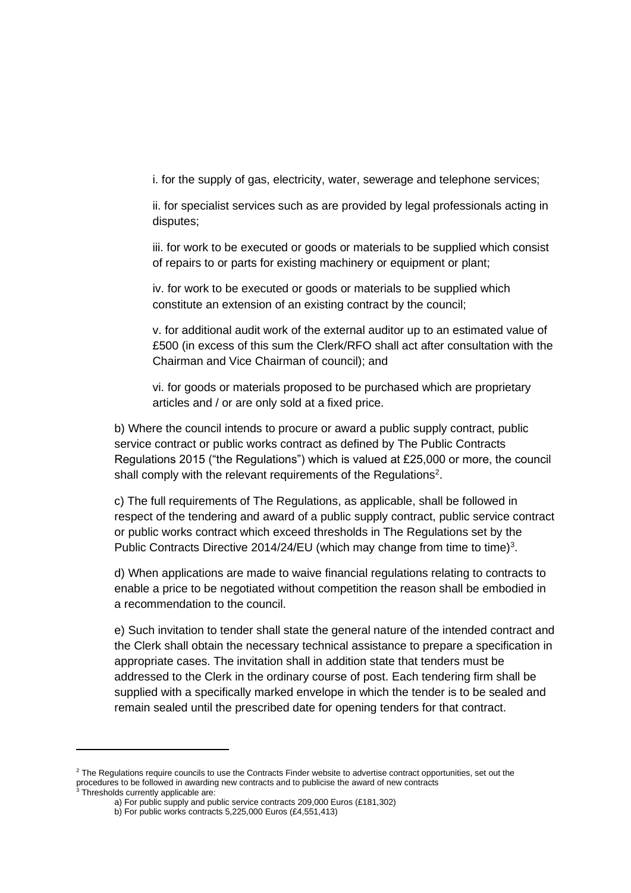i. for the supply of gas, electricity, water, sewerage and telephone services;

ii. for specialist services such as are provided by legal professionals acting in disputes;

iii. for work to be executed or goods or materials to be supplied which consist of repairs to or parts for existing machinery or equipment or plant;

iv. for work to be executed or goods or materials to be supplied which constitute an extension of an existing contract by the council;

v. for additional audit work of the external auditor up to an estimated value of £500 (in excess of this sum the Clerk/RFO shall act after consultation with the Chairman and Vice Chairman of council); and

vi. for goods or materials proposed to be purchased which are proprietary articles and / or are only sold at a fixed price.

b) Where the council intends to procure or award a public supply contract, public service contract or public works contract as defined by The Public Contracts Regulations 2015 ("the Regulations") which is valued at £25,000 or more, the council shall comply with the relevant requirements of the Regulations<sup>2</sup>.

c) The full requirements of The Regulations, as applicable, shall be followed in respect of the tendering and award of a public supply contract, public service contract or public works contract which exceed thresholds in The Regulations set by the Public Contracts Directive 2014/24/EU (which may change from time to time)<sup>3</sup>.

d) When applications are made to waive financial regulations relating to contracts to enable a price to be negotiated without competition the reason shall be embodied in a recommendation to the council.

e) Such invitation to tender shall state the general nature of the intended contract and the Clerk shall obtain the necessary technical assistance to prepare a specification in appropriate cases. The invitation shall in addition state that tenders must be addressed to the Clerk in the ordinary course of post. Each tendering firm shall be supplied with a specifically marked envelope in which the tender is to be sealed and remain sealed until the prescribed date for opening tenders for that contract.

<sup>&</sup>lt;sup>2</sup> The Regulations require councils to use the Contracts Finder website to advertise contract opportunities, set out the procedures to be followed in awarding new contracts and to publicise the award of new contracts

<sup>&</sup>lt;sup>3</sup> Thresholds currently applicable are:

a) For public supply and public service contracts 209,000 Euros (£181,302)

b) For public works contracts 5,225,000 Euros (£4,551,413)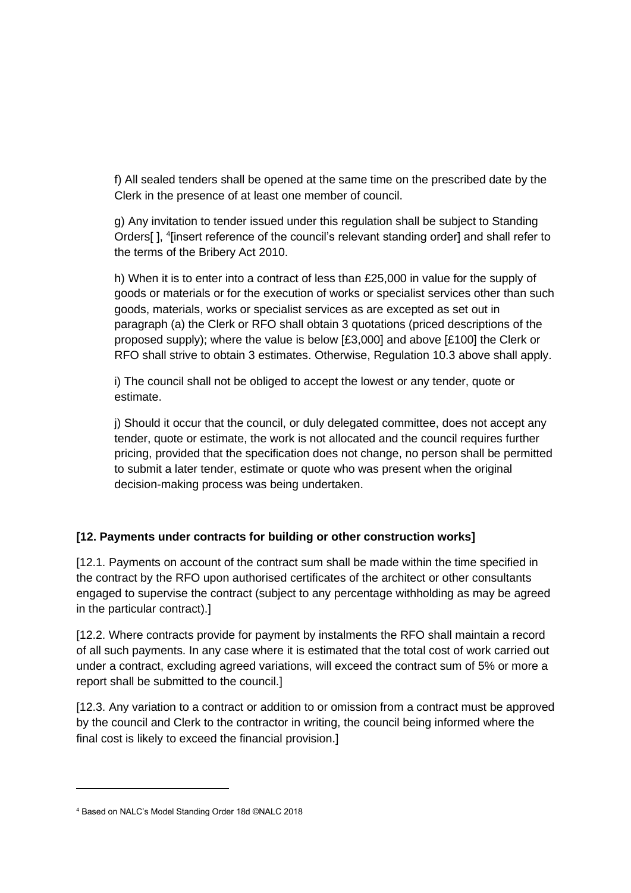f) All sealed tenders shall be opened at the same time on the prescribed date by the Clerk in the presence of at least one member of council.

g) Any invitation to tender issued under this regulation shall be subject to Standing Orders[], <sup>4</sup>[insert reference of the council's relevant standing order] and shall refer to the terms of the Bribery Act 2010.

h) When it is to enter into a contract of less than £25,000 in value for the supply of goods or materials or for the execution of works or specialist services other than such goods, materials, works or specialist services as are excepted as set out in paragraph (a) the Clerk or RFO shall obtain 3 quotations (priced descriptions of the proposed supply); where the value is below [£3,000] and above [£100] the Clerk or RFO shall strive to obtain 3 estimates. Otherwise, Regulation 10.3 above shall apply.

i) The council shall not be obliged to accept the lowest or any tender, quote or estimate.

j) Should it occur that the council, or duly delegated committee, does not accept any tender, quote or estimate, the work is not allocated and the council requires further pricing, provided that the specification does not change, no person shall be permitted to submit a later tender, estimate or quote who was present when the original decision-making process was being undertaken.

# **[12. Payments under contracts for building or other construction works]**

[12.1. Payments on account of the contract sum shall be made within the time specified in the contract by the RFO upon authorised certificates of the architect or other consultants engaged to supervise the contract (subject to any percentage withholding as may be agreed in the particular contract).]

[12.2. Where contracts provide for payment by instalments the RFO shall maintain a record of all such payments. In any case where it is estimated that the total cost of work carried out under a contract, excluding agreed variations, will exceed the contract sum of 5% or more a report shall be submitted to the council.]

[12.3. Any variation to a contract or addition to or omission from a contract must be approved by the council and Clerk to the contractor in writing, the council being informed where the final cost is likely to exceed the financial provision.]

<sup>4</sup> Based on NALC's Model Standing Order 18d ©NALC 2018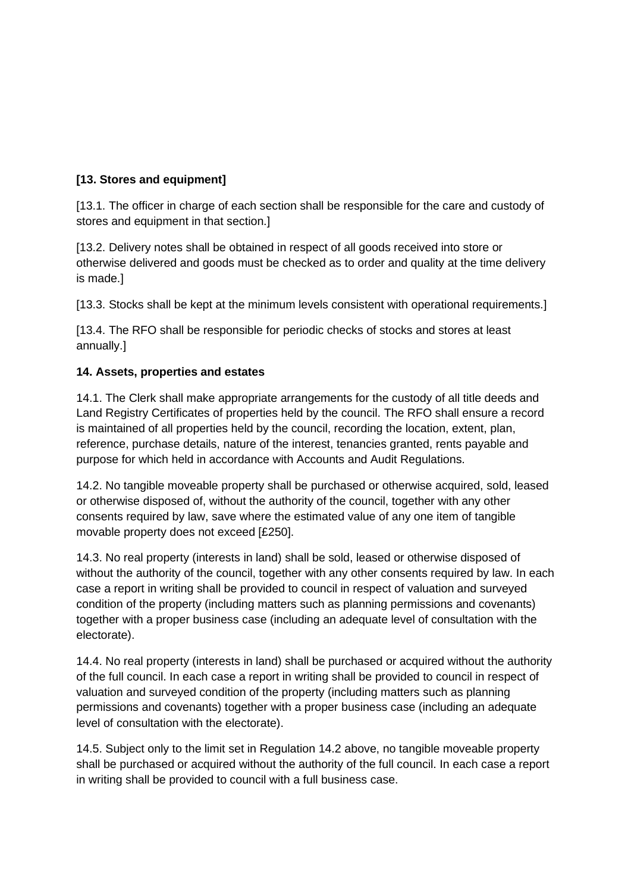# **[13. Stores and equipment]**

[13.1. The officer in charge of each section shall be responsible for the care and custody of stores and equipment in that section.]

[13.2. Delivery notes shall be obtained in respect of all goods received into store or otherwise delivered and goods must be checked as to order and quality at the time delivery is made.]

[13.3. Stocks shall be kept at the minimum levels consistent with operational requirements.]

[13.4. The RFO shall be responsible for periodic checks of stocks and stores at least annually.]

#### **14. Assets, properties and estates**

14.1. The Clerk shall make appropriate arrangements for the custody of all title deeds and Land Registry Certificates of properties held by the council. The RFO shall ensure a record is maintained of all properties held by the council, recording the location, extent, plan, reference, purchase details, nature of the interest, tenancies granted, rents payable and purpose for which held in accordance with Accounts and Audit Regulations.

14.2. No tangible moveable property shall be purchased or otherwise acquired, sold, leased or otherwise disposed of, without the authority of the council, together with any other consents required by law, save where the estimated value of any one item of tangible movable property does not exceed [£250].

14.3. No real property (interests in land) shall be sold, leased or otherwise disposed of without the authority of the council, together with any other consents required by law. In each case a report in writing shall be provided to council in respect of valuation and surveyed condition of the property (including matters such as planning permissions and covenants) together with a proper business case (including an adequate level of consultation with the electorate).

14.4. No real property (interests in land) shall be purchased or acquired without the authority of the full council. In each case a report in writing shall be provided to council in respect of valuation and surveyed condition of the property (including matters such as planning permissions and covenants) together with a proper business case (including an adequate level of consultation with the electorate).

14.5. Subject only to the limit set in Regulation 14.2 above, no tangible moveable property shall be purchased or acquired without the authority of the full council. In each case a report in writing shall be provided to council with a full business case.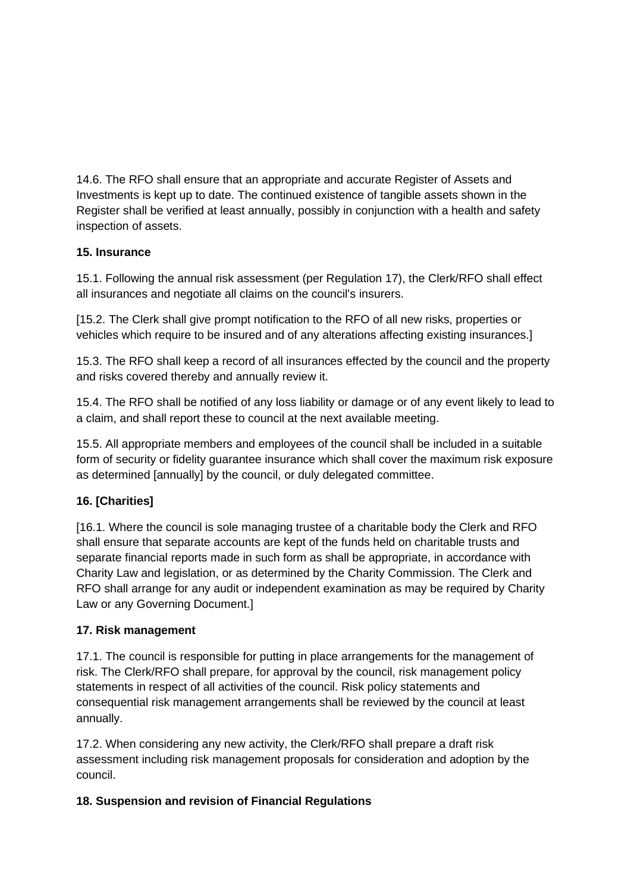14.6. The RFO shall ensure that an appropriate and accurate Register of Assets and Investments is kept up to date. The continued existence of tangible assets shown in the Register shall be verified at least annually, possibly in conjunction with a health and safety inspection of assets.

## **15. Insurance**

15.1. Following the annual risk assessment (per Regulation 17), the Clerk/RFO shall effect all insurances and negotiate all claims on the council's insurers.

[15.2. The Clerk shall give prompt notification to the RFO of all new risks, properties or vehicles which require to be insured and of any alterations affecting existing insurances.]

15.3. The RFO shall keep a record of all insurances effected by the council and the property and risks covered thereby and annually review it.

15.4. The RFO shall be notified of any loss liability or damage or of any event likely to lead to a claim, and shall report these to council at the next available meeting.

15.5. All appropriate members and employees of the council shall be included in a suitable form of security or fidelity guarantee insurance which shall cover the maximum risk exposure as determined [annually] by the council, or duly delegated committee.

# **16. [Charities]**

[16.1. Where the council is sole managing trustee of a charitable body the Clerk and RFO shall ensure that separate accounts are kept of the funds held on charitable trusts and separate financial reports made in such form as shall be appropriate, in accordance with Charity Law and legislation, or as determined by the Charity Commission. The Clerk and RFO shall arrange for any audit or independent examination as may be required by Charity Law or any Governing Document.]

# **17. Risk management**

17.1. The council is responsible for putting in place arrangements for the management of risk. The Clerk/RFO shall prepare, for approval by the council, risk management policy statements in respect of all activities of the council. Risk policy statements and consequential risk management arrangements shall be reviewed by the council at least annually.

17.2. When considering any new activity, the Clerk/RFO shall prepare a draft risk assessment including risk management proposals for consideration and adoption by the council.

# **18. Suspension and revision of Financial Regulations**